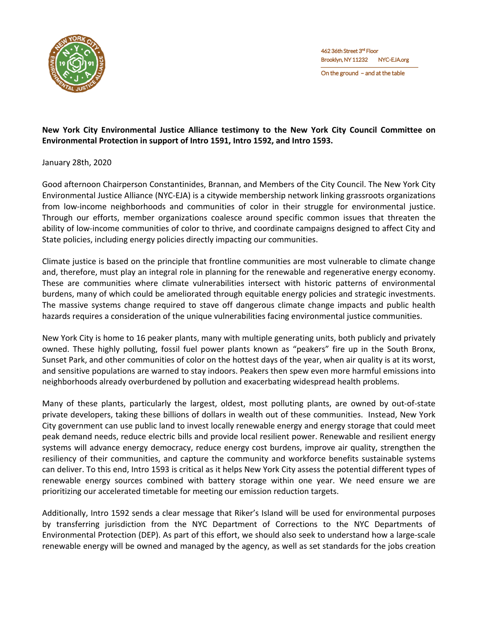

On the ground - and at the table

## **New York City Environmental Justice Alliance testimony to the New York City Council Committee on Environmental Protection in support of Intro 1591, Intro 1592, and Intro 1593.**

## January 28th, 2020

Good afternoon Chairperson Constantinides, Brannan, and Members of the City Council. The New York City Environmental Justice Alliance (NYC-EJA) is a citywide membership network linking grassroots organizations from low-income neighborhoods and communities of color in their struggle for environmental justice. Through our efforts, member organizations coalesce around specific common issues that threaten the ability of low-income communities of color to thrive, and coordinate campaigns designed to affect City and State policies, including energy policies directly impacting our communities.

Climate justice is based on the principle that frontline communities are most vulnerable to climate change and, therefore, must play an integral role in planning for the renewable and regenerative energy economy. These are communities where climate vulnerabilities intersect with historic patterns of environmental burdens, many of which could be ameliorated through equitable energy policies and strategic investments. The massive systems change required to stave off dangerous climate change impacts and public health hazards requires a consideration of the unique vulnerabilities facing environmental justice communities.

New York City is home to 16 peaker plants, many with multiple generating units, both publicly and privately owned. These highly polluting, fossil fuel power plants known as "peakers" fire up in the South Bronx, Sunset Park, and other communities of color on the hottest days of the year, when air quality is at its worst, and sensitive populations are warned to stay indoors. Peakers then spew even more harmful emissions into neighborhoods already overburdened by pollution and exacerbating widespread health problems.

Many of these plants, particularly the largest, oldest, most polluting plants, are owned by out-of-state private developers, taking these billions of dollars in wealth out of these communities. Instead, New York City government can use public land to invest locally renewable energy and energy storage that could meet peak demand needs, reduce electric bills and provide local resilient power. Renewable and resilient energy systems will advance energy democracy, reduce energy cost burdens, improve air quality, strengthen the resiliency of their communities, and capture the community and workforce benefits sustainable systems can deliver. To this end, Intro 1593 is critical as it helps New York City assess the potential different types of renewable energy sources combined with battery storage within one year. We need ensure we are prioritizing our accelerated timetable for meeting our emission reduction targets.

Additionally, Intro 1592 sends a clear message that Riker's Island will be used for environmental purposes by transferring jurisdiction from the NYC Department of Corrections to the NYC Departments of Environmental Protection (DEP). As part of this effort, we should also seek to understand how a large-scale renewable energy will be owned and managed by the agency, as well as set standards for the jobs creation